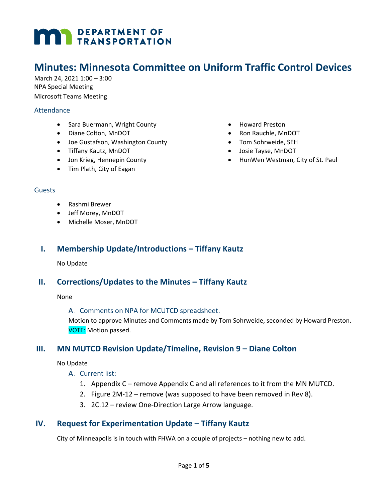# **MAY DEPARTMENT OF TRANSPORTATION**

## **Minutes: Minnesota Committee on Uniform Traffic Control Devices**

March 24, 2021 1:00 – 3:00 NPA Special Meeting Microsoft Teams Meeting

#### **Attendance**

- Sara Buermann, Wright County
- Diane Colton, MnDOT
- Joe Gustafson, Washington County
- Tiffany Kautz, MnDOT
- Jon Krieg, Hennepin County
- Tim Plath, City of Eagan
- Howard Preston
- Ron Rauchle, MnDOT
- Tom Sohrweide, SEH
- Josie Tayse, MnDOT
- HunWen Westman, City of St. Paul

#### **Guests**

- Rashmi Brewer
- Jeff Morey, MnDOT
- Michelle Moser, MnDOT

### **I. Membership Update/Introductions – Tiffany Kautz**

No Update

#### **II. Corrections/Updates to the Minutes – Tiffany Kautz**

None

A. Comments on NPA for MCUTCD spreadsheet.

Motion to approve Minutes and Comments made by Tom Sohrweide, seconded by Howard Preston. VOTE: Motion passed.

#### **III. MN MUTCD Revision Update/Timeline, Revision 9 – Diane Colton**

#### No Update

- A. Current list:
	- 1. Appendix C remove Appendix C and all references to it from the MN MUTCD.
	- 2. Figure 2M-12 remove (was supposed to have been removed in Rev 8).
	- 3. 2C.12 review One-Direction Large Arrow language.

#### **IV. Request for Experimentation Update – Tiffany Kautz**

City of Minneapolis is in touch with FHWA on a couple of projects – nothing new to add.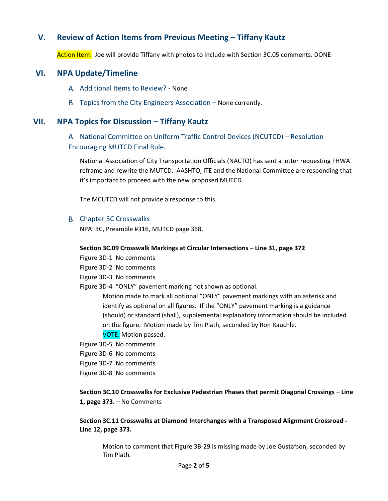### **V. Review of Action Items from Previous Meeting – Tiffany Kautz**

Action Item: Joe will provide Tiffany with photos to include with Section 3C.05 comments. DONE

#### **VI. NPA Update/Timeline**

- A. Additional Items to Review? None
- Topics from the City Engineers Association None currently.

#### **VII. NPA Topics for Discussion – Tiffany Kautz**

#### A. National Committee on Uniform Traffic Control Devices (NCUTCD) – Resolution Encouraging MUTCD Final Rule.

National Association of City Transportation Officials (NACTO) has sent a letter requesting FHWA reframe and rewrite the MUTCD. AASHTO, ITE and the National Committee are responding that it's important to proceed with the new proposed MUTCD.

The MCUTCD will not provide a response to this.

#### B. Chapter 3C Crosswalks

NPA: 3C, Preamble #316, MUTCD page 368.

#### **Section 3C.09 Crosswalk Markings at Circular Intersections – Line 31, page 372**

- Figure 3D-1 No comments
- Figure 3D-2 No comments
- Figure 3D-3 No comments
- Figure 3D-4 "ONLY" pavement marking not shown as optional.

Motion made to mark all optional "ONLY" pavement markings with an asterisk and identify as optional on all figures. If the "ONLY" pavement marking is a guidance (should) or standard (shall), supplemental explanatory information should be included on the figure. Motion made by Tim Plath, seconded by Ron Rauchle. VOTE: Motion passed.

- Figure 3D-5 No comments
- Figure 3D-6 No comments
- Figure 3D-7 No comments
- Figure 3D-8 No comments

**Section 3C.10 Crosswalks for Exclusive Pedestrian Phases that permit Diagonal Crossings** – **Line 1, page 373.** – No Comments

**Section 3C.11 Crosswalks at Diamond Interchanges with a Transposed Alignment Crossroad - Line 12, page 373.**

Motion to comment that Figure 3B-29 is missing made by Joe Gustafson, seconded by Tim Plath.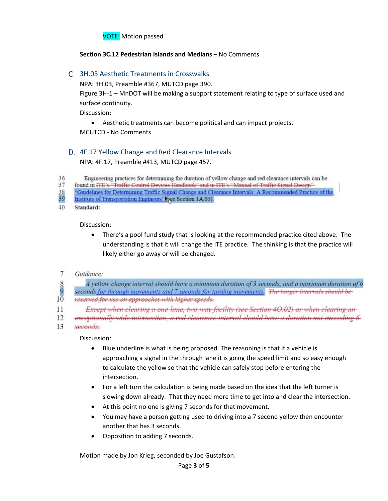VOTE: Motion passed

#### **Section 3C.12 Pedestrian Islands and Medians** – No Comments

#### 3H.03 Aesthetic Treatments in Crosswalks

NPA: 3H.03, Preamble #367, MUTCD page 390.

Figure 3H-1 – MnDOT will be making a support statement relating to type of surface used and surface continuity.

Discussion:

• Aesthetic treatments can become political and can impact projects.

MCUTCD - No Comments

#### 4F.17 Yellow Change and Red Clearance Intervals

NPA: 4F.17, Preamble #413, MUTCD page 457.

36 Engineering practices for determining the duration of yellow change and red clearance intervals can be

- 37 found in FFE's "Traffic Control Devices Handbook" and in ITE's "Manual of Traffic Signal Design"
- $\frac{38}{39}$ "Guidelines for Determining Traffic Signal Change and Clearance Intervals: A Recommended Practice of the
- Institute of Transportation Engineers" (see Section 1A.05).
- 40 Standard:

#### Discussion:

• There's a pool fund study that is looking at the recommended practice cited above. The understanding is that it will change the ITE practice. The thinking is that the practice will likely either go away or will be changed.

#### 7 Guidance:

 $\frac{8}{9}$ A yellow change interval should have a minimum duration of 3 seconds, and a maximum duration of 6 seconds for through movements and 7 seconds for turning movements. The longer intervals should be- $10<sup>10</sup>$ reserved for use on approaches with higher speeds.

- Except when clearing a one-lane, two-way facility (see Section 40.02) or when clearing an-
- $12$ exeeptionally wide intersection, a red elearance interval should have a duration not execeding 6
- 13 seconds.

11

#### Discussion:

- Blue underline is what is being proposed. The reasoning is that if a vehicle is approaching a signal in the through lane it is going the speed limit and so easy enough to calculate the yellow so that the vehicle can safely stop before entering the intersection.
- For a left turn the calculation is being made based on the idea that the left turner is slowing down already. That they need more time to get into and clear the intersection.
- At this point no one is giving 7 seconds for that movement.
- You may have a person getting used to driving into a 7 second yellow then encounter another that has 3 seconds.
- Opposition to adding 7 seconds.

Motion made by Jon Krieg, seconded by Joe Gustafson: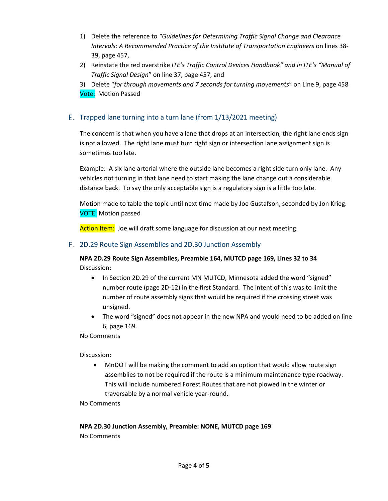- 1) Delete the reference to *"Guidelines for Determining Traffic Signal Change and Clearance Intervals: A Recommended Practice of the Institute of Transportation Engineers* on lines 38- 39, page 457,
- 2) Reinstate the red overstrike *ITE's Traffic Control Devices Handbook" and in ITE's "Manual of Traffic Signal Design*" on line 37, page 457, and
- 3) Delete "*for through movements and 7 seconds for turning movements*" on Line 9, page 458 Vote: Motion Passed

#### E. Trapped lane turning into a turn lane (from 1/13/2021 meeting)

The concern is that when you have a lane that drops at an intersection, the right lane ends sign is not allowed. The right lane must turn right sign or intersection lane assignment sign is sometimes too late.

Example: A six lane arterial where the outside lane becomes a right side turn only lane. Any vehicles not turning in that lane need to start making the lane change out a considerable distance back. To say the only acceptable sign is a regulatory sign is a little too late.

Motion made to table the topic until next time made by Joe Gustafson, seconded by Jon Krieg. VOTE: Motion passed

Action Item: Joe will draft some language for discussion at our next meeting.

#### 2D.29 Route Sign Assemblies and 2D.30 Junction Assembly

**NPA 2D.29 Route Sign Assemblies, Preamble 164, MUTCD page 169, Lines 32 to 34** Discussion:

- In Section 2D.29 of the current MN MUTCD, Minnesota added the word "signed" number route (page 2D-12) in the first Standard. The intent of this was to limit the number of route assembly signs that would be required if the crossing street was unsigned.
- The word "signed" does not appear in the new NPA and would need to be added on line 6, page 169.

No Comments

Discussion:

• MnDOT will be making the comment to add an option that would allow route sign assemblies to not be required if the route is a minimum maintenance type roadway. This will include numbered Forest Routes that are not plowed in the winter or traversable by a normal vehicle year-round.

No Comments

#### **NPA 2D.30 Junction Assembly, Preamble: NONE, MUTCD page 169** No Comments